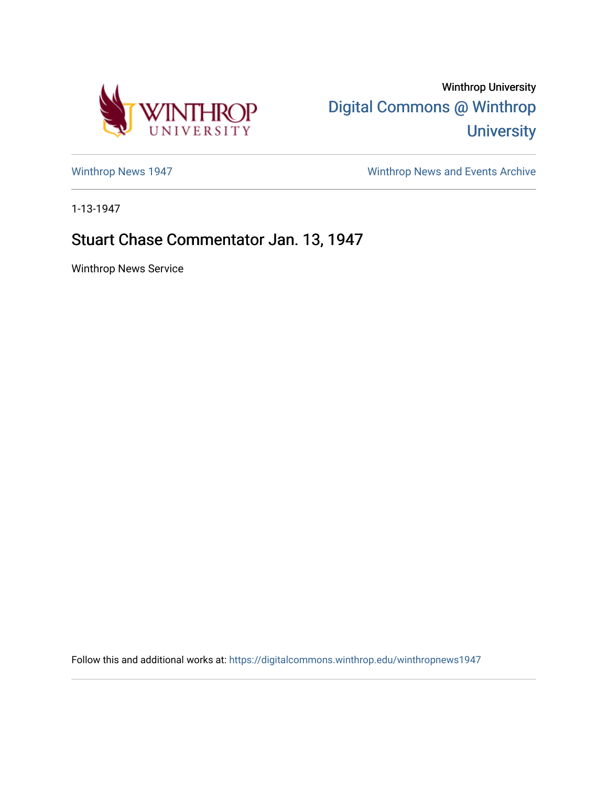

Winthrop University [Digital Commons @ Winthrop](https://digitalcommons.winthrop.edu/)  **University** 

[Winthrop News 1947](https://digitalcommons.winthrop.edu/winthropnews1947) [Winthrop News and Events Archive](https://digitalcommons.winthrop.edu/winthropnewsarchives) 

1-13-1947

## Stuart Chase Commentator Jan. 13, 1947

Winthrop News Service

Follow this and additional works at: [https://digitalcommons.winthrop.edu/winthropnews1947](https://digitalcommons.winthrop.edu/winthropnews1947?utm_source=digitalcommons.winthrop.edu%2Fwinthropnews1947%2F41&utm_medium=PDF&utm_campaign=PDFCoverPages)